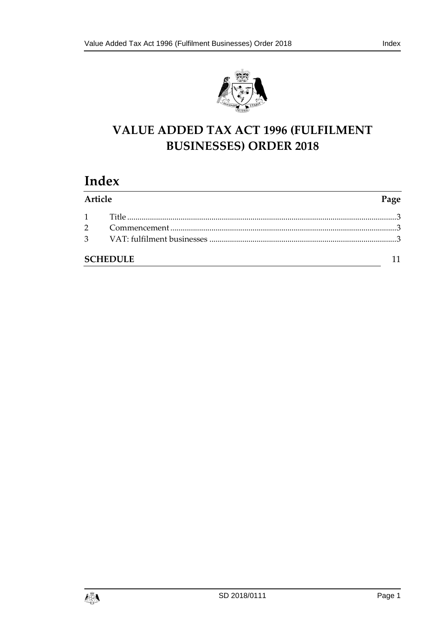



# **VALUE ADDED TAX ACT 1996 (FULFILMENT BUSINESSES) ORDER 2018**

# **Index**

| Article |                 | Page |
|---------|-----------------|------|
|         |                 |      |
|         |                 |      |
|         |                 |      |
|         | <b>SCHEDULE</b> |      |

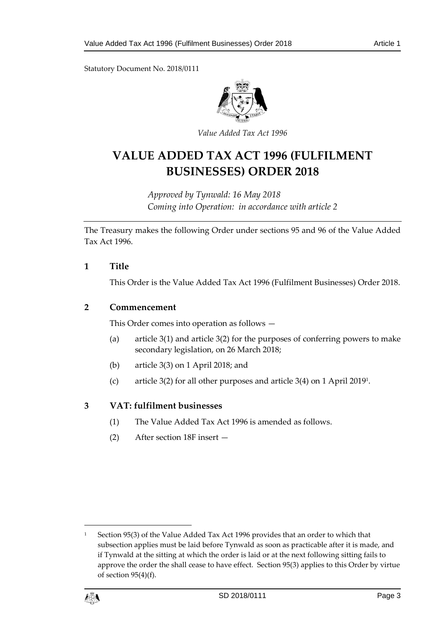Statutory Document No. 2018/0111



*Value Added Tax Act 1996*

# **VALUE ADDED TAX ACT 1996 (FULFILMENT BUSINESSES) ORDER 2018**

*Approved by Tynwald: 16 May 2018 Coming into Operation: in accordance with article 2*

The Treasury makes the following Order under sections 95 and 96 of the Value Added Tax Act 1996.

#### <span id="page-2-0"></span>**1 Title**

This Order is the Value Added Tax Act 1996 (Fulfilment Businesses) Order 2018.

#### <span id="page-2-1"></span>**2 Commencement**

This Order comes into operation as follows —

- (a) article 3(1) and article 3(2) for the purposes of conferring powers to make secondary legislation, on 26 March 2018;
- (b) article 3(3) on 1 April 2018; and
- (c) article 3(2) for all other purposes and article 3(4) on 1 April 2019<sup>1</sup> .

#### <span id="page-2-2"></span>**3 VAT: fulfilment businesses**

- (1) The Value Added Tax Act 1996 is amended as follows.
- (2) After section 18F insert —

<sup>1</sup> Section 95(3) of the Value Added Tax Act 1996 provides that an order to which that subsection applies must be laid before Tynwald as soon as practicable after it is made, and if Tynwald at the sitting at which the order is laid or at the next following sitting fails to approve the order the shall cease to have effect. Section 95(3) applies to this Order by virtue of section 95(4)(f).



1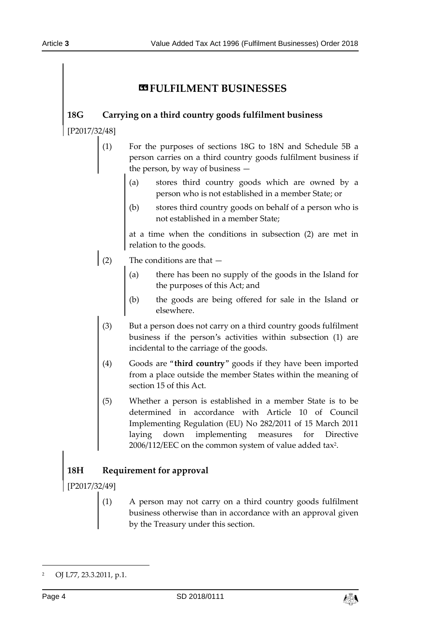# *<b>ESPULFILMENT BUSINESSES*

## **18G Carrying on a third country goods fulfilment business**

[P2017/32/48]

- (1) For the purposes of sections 18G to 18N and Schedule 5B a person carries on a third country goods fulfilment business if the person, by way of business —
	- (a) stores third country goods which are owned by a person who is not established in a member State; or
	- (b) stores third country goods on behalf of a person who is not established in a member State;

at a time when the conditions in subsection (2) are met in relation to the goods.

- (2) The conditions are that  $-$ 
	- (a) there has been no supply of the goods in the Island for the purposes of this Act; and
	- (b) the goods are being offered for sale in the Island or elsewhere.
	- (3) But a person does not carry on a third country goods fulfilment business if the person's activities within subsection (1) are incidental to the carriage of the goods.
	- (4) Goods are "**third country**" goods if they have been imported from a place outside the member States within the meaning of section 15 of this Act.
	- (5) Whether a person is established in a member State is to be determined in accordance with Article 10 of Council Implementing Regulation (EU) No 282/2011 of 15 March 2011 laying down implementing measures for Directive  $2006/112/\text{EEC}$  on the common system of value added tax<sup>2</sup>.

# **18H Requirement for approval**

[P2017/32/49]

(1) A person may not carry on a third country goods fulfilment business otherwise than in accordance with an approval given by the Treasury under this section.

-



<sup>2</sup> OJ L77, 23.3.2011, p.1.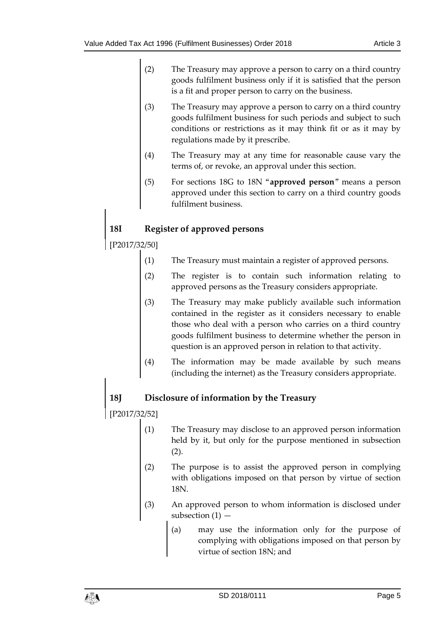- (2) The Treasury may approve a person to carry on a third country goods fulfilment business only if it is satisfied that the person is a fit and proper person to carry on the business.
- (3) The Treasury may approve a person to carry on a third country goods fulfilment business for such periods and subject to such conditions or restrictions as it may think fit or as it may by regulations made by it prescribe.
- (4) The Treasury may at any time for reasonable cause vary the terms of, or revoke, an approval under this section.
- (5) For sections 18G to 18N "**approved person**" means a person approved under this section to carry on a third country goods fulfilment business.

# **18I Register of approved persons**

[P2017/32/50]

- (1) The Treasury must maintain a register of approved persons.
- (2) The register is to contain such information relating to approved persons as the Treasury considers appropriate.
- (3) The Treasury may make publicly available such information contained in the register as it considers necessary to enable those who deal with a person who carries on a third country goods fulfilment business to determine whether the person in question is an approved person in relation to that activity.
- (4) The information may be made available by such means (including the internet) as the Treasury considers appropriate.

## **18J Disclosure of information by the Treasury**

[P2017/32/52]

- (1) The Treasury may disclose to an approved person information held by it, but only for the purpose mentioned in subsection  $(2).$
- (2) The purpose is to assist the approved person in complying with obligations imposed on that person by virtue of section 18N.
- (3) An approved person to whom information is disclosed under subsection (1) —
	- (a) may use the information only for the purpose of complying with obligations imposed on that person by virtue of section 18N; and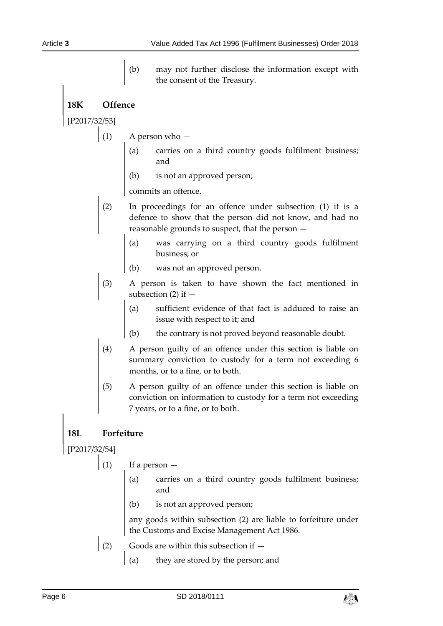(b) may not further disclose the information except with the consent of the Treasury.

**18K Offence**

[P2017/32/53]

- $(1)$  A person who  $-$ 
	- (a) carries on a third country goods fulfilment business; and
	- (b) is not an approved person;

commits an offence.

- (2) In proceedings for an offence under subsection (1) it is a defence to show that the person did not know, and had no reasonable grounds to suspect, that the person —
	- (a) was carrying on a third country goods fulfilment business; or
	- (b) was not an approved person.
- (3) A person is taken to have shown the fact mentioned in subsection  $(2)$  if  $-$ 
	- (a) sufficient evidence of that fact is adduced to raise an issue with respect to it; and
	- (b) the contrary is not proved beyond reasonable doubt.
- (4) A person guilty of an offence under this section is liable on summary conviction to custody for a term not exceeding 6 months, or to a fine, or to both.
- (5) A person guilty of an offence under this section is liable on conviction on information to custody for a term not exceeding 7 years, or to a fine, or to both.

## **18L Forfeiture**

[P2017/32/54]

 $(1)$  If a person  $-$ 

- (a) carries on a third country goods fulfilment business; and
- (b) is not an approved person;

any goods within subsection (2) are liable to forfeiture under the Customs and Excise Management Act 1986.

- (2) Goods are within this subsection if  $-$ 
	- (a) they are stored by the person; and

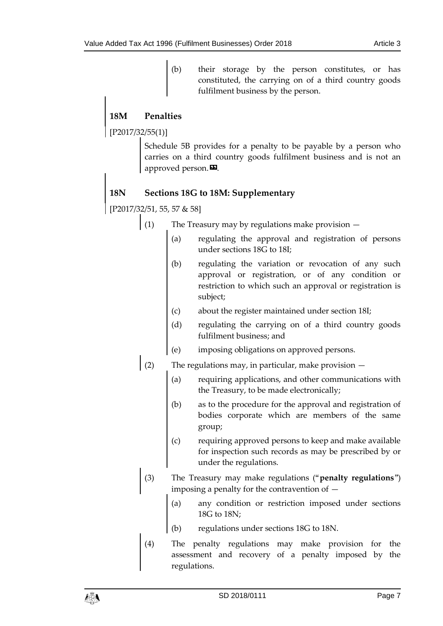(b) their storage by the person constitutes, or has constituted, the carrying on of a third country goods fulfilment business by the person.

# **18M Penalties**

[P2017/32/55(1)]

Schedule 5B provides for a penalty to be payable by a person who carries on a third country goods fulfilment business and is not an approved person.<sup>22</sup>.

## **18N Sections 18G to 18M: Supplementary**

[P2017/32/51, 55, 57 & 58]

- (1) The Treasury may by regulations make provision
	- (a) regulating the approval and registration of persons under sections 18G to 18I;
	- (b) regulating the variation or revocation of any such approval or registration, or of any condition or restriction to which such an approval or registration is subject;
	- (c) about the register maintained under section 18I;
	- (d) regulating the carrying on of a third country goods fulfilment business; and
	- (e) imposing obligations on approved persons.
- (2) The regulations may, in particular, make provision  $-$ 
	- (a) requiring applications, and other communications with the Treasury, to be made electronically;
	- (b) as to the procedure for the approval and registration of bodies corporate which are members of the same group;
	- (c) requiring approved persons to keep and make available for inspection such records as may be prescribed by or under the regulations.
- (3) The Treasury may make regulations ("**penalty regulations**") imposing a penalty for the contravention of —
	- (a) any condition or restriction imposed under sections 18G to 18N;
	- (b) regulations under sections 18G to 18N.
- (4) The penalty regulations may make provision for the assessment and recovery of a penalty imposed by the regulations.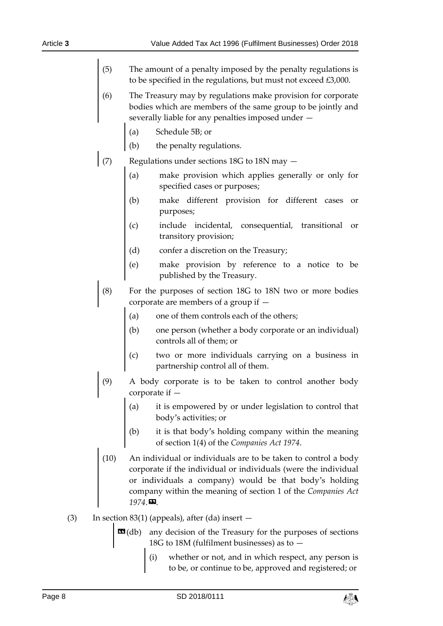- (5) The amount of a penalty imposed by the penalty regulations is to be specified in the regulations, but must not exceed £3,000.
- (6) The Treasury may by regulations make provision for corporate bodies which are members of the same group to be jointly and severally liable for any penalties imposed under —
	- (a) Schedule 5B; or
	- (b) the penalty regulations.
- (7) Regulations under sections 18G to 18N may  $-$ 
	- (a) make provision which applies generally or only for specified cases or purposes;
	- (b) make different provision for different cases or purposes;
	- (c) include incidental, consequential, transitional or transitory provision;
	- (d) confer a discretion on the Treasury;
	- (e) make provision by reference to a notice to be published by the Treasury.
- (8) For the purposes of section 18G to 18N two or more bodies corporate are members of a group if —
	- (a) one of them controls each of the others;
	- (b) one person (whether a body corporate or an individual) controls all of them; or
	- (c) two or more individuals carrying on a business in partnership control all of them.
- (9) A body corporate is to be taken to control another body corporate if —
	- (a) it is empowered by or under legislation to control that body's activities; or
	- (b) it is that body's holding company within the meaning of section 1(4) of the *Companies Act 1974*.
- (10) An individual or individuals are to be taken to control a body corporate if the individual or individuals (were the individual or individuals a company) would be that body's holding company within the meaning of section 1 of the *Companies Act 1974*.».
- (3) In section 83(1) (appeals), after (da) insert  $-$ 
	- **EG**(db) any decision of the Treasury for the purposes of sections 18G to 18M (fulfilment businesses) as to —
		- (i) whether or not, and in which respect, any person is to be, or continue to be, approved and registered; or

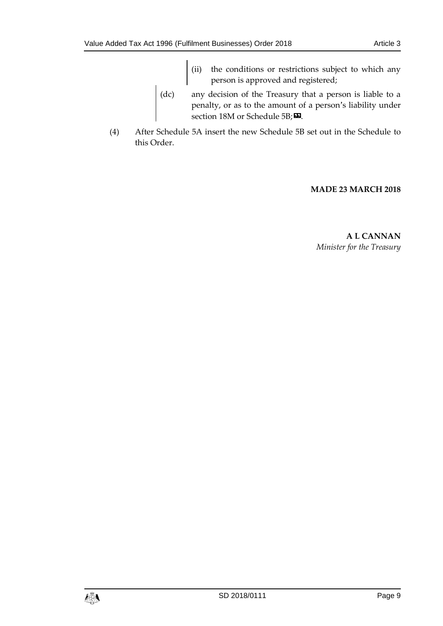- (ii) the conditions or restrictions subject to which any person is approved and registered;
- (dc) any decision of the Treasury that a person is liable to a penalty, or as to the amount of a person's liability under section 18M or Schedule 5B;  $\Sigma$ .
- (4) After Schedule 5A insert the new Schedule 5B set out in the Schedule to this Order.

#### **MADE 23 MARCH 2018**

**A L CANNAN** *Minister for the Treasury*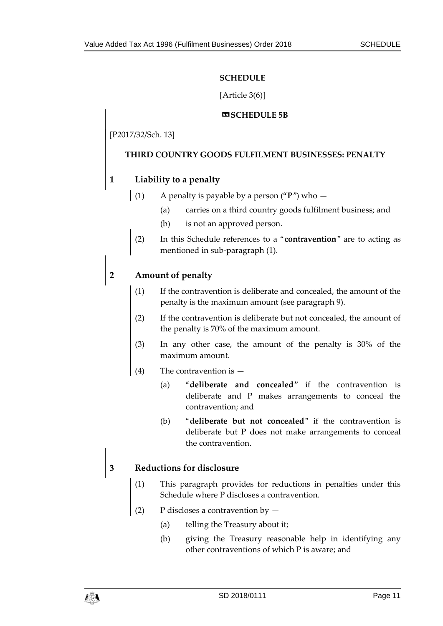#### **SCHEDULE**

#### [Article 3(6)]

#### $**Q**$ **SCHEDULE 5B**

### <span id="page-10-0"></span>[P2017/32/Sch. 13]

#### **THIRD COUNTRY GOODS FULFILMENT BUSINESSES: PENALTY**

## **1 Liability to a penalty**

- (1) A penalty is payable by a person ("**P**") who
	- (a) carries on a third country goods fulfilment business; and
	- (b) is not an approved person.
- (2) In this Schedule references to a "**contravention**" are to acting as mentioned in sub-paragraph (1).

#### **2 Amount of penalty**

- (1) If the contravention is deliberate and concealed, the amount of the penalty is the maximum amount (see paragraph 9).
- (2) If the contravention is deliberate but not concealed, the amount of the penalty is 70% of the maximum amount.
- (3) In any other case, the amount of the penalty is 30% of the maximum amount.
- (4) The contravention is
	- (a) "**deliberate and concealed**" if the contravention is deliberate and P makes arrangements to conceal the contravention; and
	- (b) "**deliberate but not concealed**" if the contravention is deliberate but P does not make arrangements to conceal the contravention.

## **3 Reductions for disclosure**

- This paragraph provides for reductions in penalties under this Schedule where P discloses a contravention.
- (2) P discloses a contravention by  $-$ 
	- (a) telling the Treasury about it;
	- (b) giving the Treasury reasonable help in identifying any other contraventions of which P is aware; and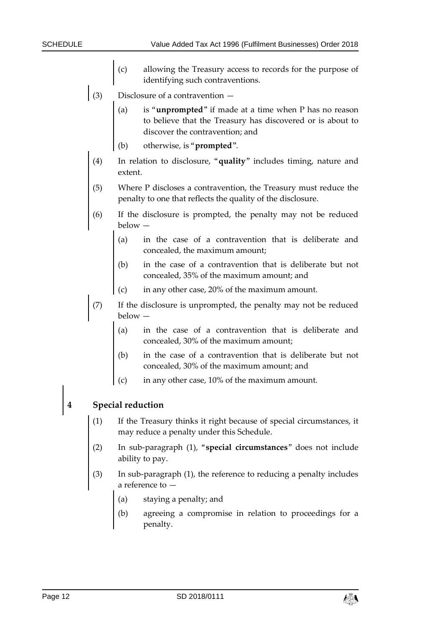- (c) allowing the Treasury access to records for the purpose of identifying such contraventions.
- (3) Disclosure of a contravention  $-$ 
	- (a) is "**unprompted**" if made at a time when P has no reason to believe that the Treasury has discovered or is about to discover the contravention; and
	- (b) otherwise, is "**prompted**".
	- (4) In relation to disclosure, "**quality**" includes timing, nature and extent.
	- (5) Where P discloses a contravention, the Treasury must reduce the penalty to one that reflects the quality of the disclosure.
- (6) If the disclosure is prompted, the penalty may not be reduced below —
	- (a) in the case of a contravention that is deliberate and concealed, the maximum amount;
	- (b) in the case of a contravention that is deliberate but not concealed, 35% of the maximum amount; and
	- (c) in any other case, 20% of the maximum amount.
- (7) If the disclosure is unprompted, the penalty may not be reduced below
	- in the case of a contravention that is deliberate and concealed, 30% of the maximum amount;
	- (b) in the case of a contravention that is deliberate but not concealed, 30% of the maximum amount; and
	- (c) in any other case, 10% of the maximum amount.

#### **4 Special reduction**

- If the Treasury thinks it right because of special circumstances, it may reduce a penalty under this Schedule.
- (2) In sub-paragraph (1), "**special circumstances**" does not include ability to pay.
- In sub-paragraph (1), the reference to reducing a penalty includes a reference to —
	- (a) staying a penalty; and
	- (b) agreeing a compromise in relation to proceedings for a penalty.

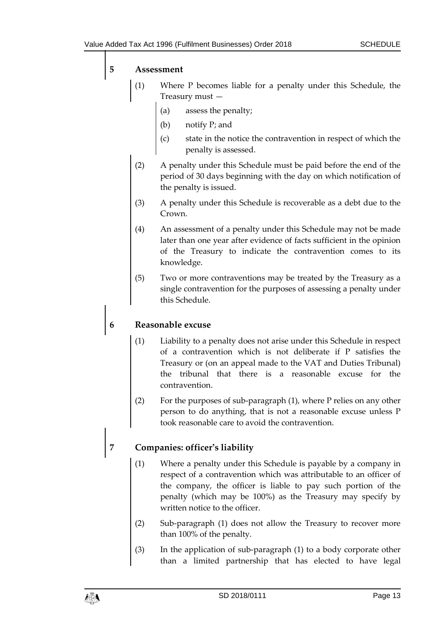#### **5 Assessment**

- (1) Where P becomes liable for a penalty under this Schedule, the Treasury must —
	- (a) assess the penalty;
	- (b) notify P; and
	- (c) state in the notice the contravention in respect of which the penalty is assessed.
- (2) A penalty under this Schedule must be paid before the end of the period of 30 days beginning with the day on which notification of the penalty is issued.
- (3) A penalty under this Schedule is recoverable as a debt due to the Crown.
- (4) An assessment of a penalty under this Schedule may not be made later than one year after evidence of facts sufficient in the opinion of the Treasury to indicate the contravention comes to its knowledge.
- (5) Two or more contraventions may be treated by the Treasury as a single contravention for the purposes of assessing a penalty under this Schedule.

## **6 Reasonable excuse**

- (1) Liability to a penalty does not arise under this Schedule in respect of a contravention which is not deliberate if P satisfies the Treasury or (on an appeal made to the VAT and Duties Tribunal) the tribunal that there is a reasonable excuse for the contravention.
- (2) For the purposes of sub-paragraph (1), where P relies on any other person to do anything, that is not a reasonable excuse unless P took reasonable care to avoid the contravention.

## **7 Companies: officer's liability**

- (1) Where a penalty under this Schedule is payable by a company in respect of a contravention which was attributable to an officer of the company, the officer is liable to pay such portion of the penalty (which may be 100%) as the Treasury may specify by written notice to the officer.
- (2) Sub-paragraph (1) does not allow the Treasury to recover more than 100% of the penalty.
- (3) In the application of sub-paragraph (1) to a body corporate other than a limited partnership that has elected to have legal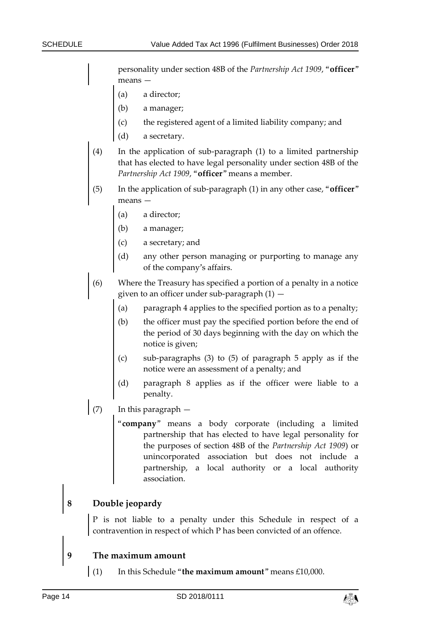personality under section 48B of the *Partnership Act 1909*, "**officer**" means —

- (a) a director;
- (b) a manager;
- (c) the registered agent of a limited liability company; and
- (d) a secretary.
- (4) In the application of sub-paragraph (1) to a limited partnership that has elected to have legal personality under section 48B of the *Partnership Act 1909*, "**officer**" means a member.
- (5) In the application of sub-paragraph (1) in any other case, "**officer**" means —
	- (a) a director;
	- (b) a manager;
	- (c) a secretary; and
	- (d) any other person managing or purporting to manage any of the company's affairs.
- (6) Where the Treasury has specified a portion of a penalty in a notice given to an officer under sub-paragraph  $(1)$  –
	- (a) paragraph 4 applies to the specified portion as to a penalty;
	- (b) the officer must pay the specified portion before the end of the period of 30 days beginning with the day on which the notice is given;
	- (c) sub-paragraphs (3) to (5) of paragraph 5 apply as if the notice were an assessment of a penalty; and
	- (d) paragraph 8 applies as if the officer were liable to a penalty.
- $(7)$  In this paragraph  $-$ 
	- "**company**" means a body corporate (including a limited partnership that has elected to have legal personality for the purposes of section 48B of the *Partnership Act 1909*) or unincorporated association but does not include a partnership, a local authority or a local authority association.

#### **8 Double jeopardy**

P is not liable to a penalty under this Schedule in respect of a contravention in respect of which P has been convicted of an offence.

#### **9 The maximum amount**

(1) In this Schedule "**the maximum amount**" means £10,000.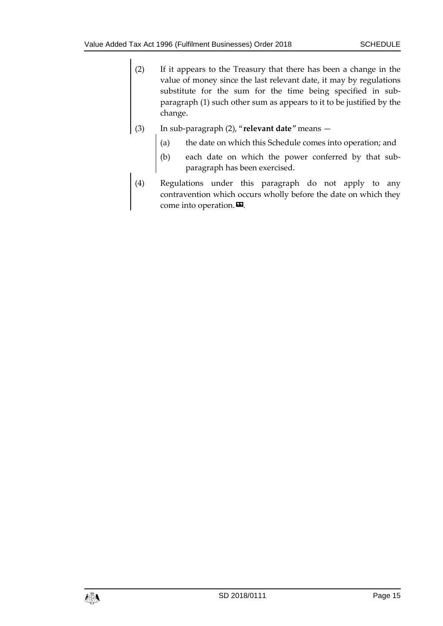- (2) If it appears to the Treasury that there has been a change in the value of money since the last relevant date, it may by regulations substitute for the sum for the time being specified in subparagraph (1) such other sum as appears to it to be justified by the change.
- (3) In sub-paragraph (2), "**relevant date**" means
	- (a) the date on which this Schedule comes into operation; and
	- (b) each date on which the power conferred by that subparagraph has been exercised.
- (4) Regulations under this paragraph do not apply to any contravention which occurs wholly before the date on which they come into operation. $\mathbf{E}$ .